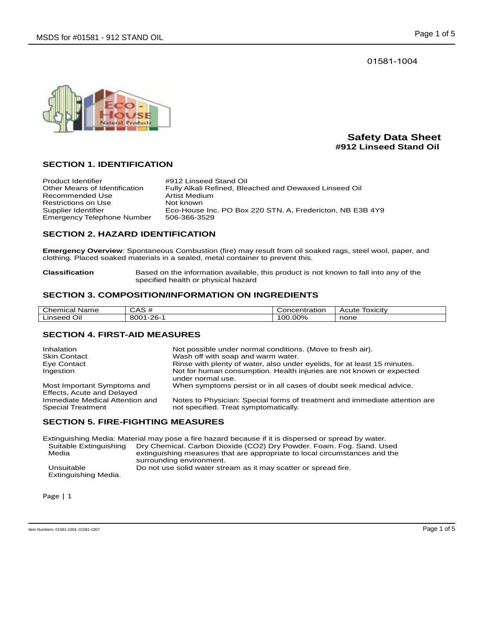01581-1004



# **Safety Data Sheet #912 Linseed Stand Oil**

# **SECTION 1. IDENTIFICATION**

| Product Identifier                | #912 Linseed Stand Oil                                    |
|-----------------------------------|-----------------------------------------------------------|
| Other Means of Identification     | Fully Alkali Refined, Bleached and Dewaxed Linseed Oil    |
| Recommended Use                   | Artist Medium                                             |
| Restrictions on Use               | Not known                                                 |
| Supplier Identifier               | Eco-House Inc. PO Box 220 STN. A, Fredericton, NB E3B 4Y9 |
| <b>Emergency Telephone Number</b> | 506-366-3529                                              |

# **SECTION 2. HAZARD IDENTIFICATION**

**Emergency Overview**: Spontaneous Combustion (fire) may result from oil soaked rags, steel wool, paper, and clothing. Placed soaked materials in a sealed, metal container to prevent this.

**Classification** Based on the information available, this product is not known to fall into any of the specified health or physical hazard

# **SECTION 3. COMPOSITION/INFORMATION ON INGREDIENTS**

| Chemical<br>Name                 | $\cap$ $\cap$ $\cap$<br>$\overline{ }$<br>UAJ # | Concentration | Acute<br>Toxicity |
|----------------------------------|-------------------------------------------------|---------------|-------------------|
| $\sim$ $\cdot$<br>Oil<br>Linseed | -26-<br>8001<br>. .                             | $100.00\%$    | none              |

### **SECTION 4. FIRST-AID MEASURES**

| Inhalation<br><b>Skin Contact</b>                           | Not possible under normal conditions. (Move to fresh air).<br>Wash off with soap and warm water.                    |
|-------------------------------------------------------------|---------------------------------------------------------------------------------------------------------------------|
| Eye Contact                                                 | Rinse with plenty of water, also under eyelids, for at least 15 minutes.                                            |
| Ingestion                                                   | Not for human consumption. Health injuries are not known or expected<br>under normal use.                           |
| Most Important Symptoms and<br>Effects, Acute and Delayed   | When symptoms persist or in all cases of doubt seek medical advice.                                                 |
| Immediate Medical Attention and<br><b>Special Treatment</b> | Notes to Physician: Special forms of treatment and immediate attention are<br>not specified. Treat symptomatically. |

#### **SECTION 5. FIRE-FIGHTING MEASURES**

| Extinguishing Media: Material may pose a fire hazard because if it is dispersed or spread by water. |                                                                                                        |  |
|-----------------------------------------------------------------------------------------------------|--------------------------------------------------------------------------------------------------------|--|
| Suitable Extinguishing                                                                              | Dry Chemical. Carbon Dioxide (CO2) Dry Powder. Foam. Fog. Sand. Used                                   |  |
| Media                                                                                               | extinguishing measures that are appropriate to local circumstances and the<br>surrounding environment. |  |
| Unsuitable<br>Extinguishing Media.                                                                  | Do not use solid water stream as it may scatter or spread fire.                                        |  |

Page | 1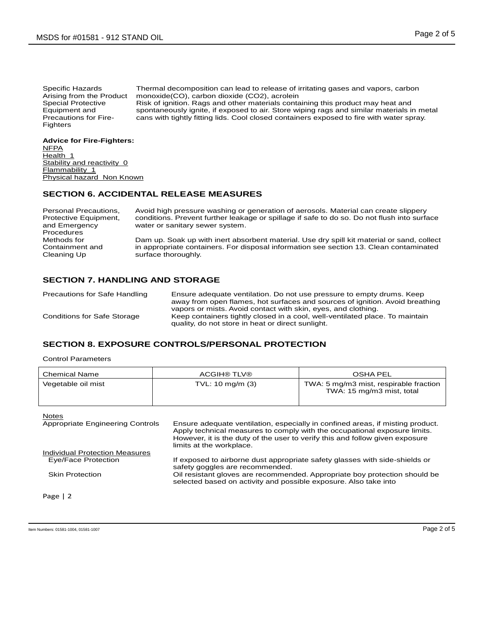Specific Hazards Arising from the Product Special Protective Equipment and Precautions for Fire-Fighters

Thermal decomposition can lead to release of irritating gases and vapors, carbon monoxide(CO), carbon dioxide (CO2), acrolein Risk of ignition. Rags and other materials containing this product may heat and spontaneously ignite, if exposed to air. Store wiping rags and similar materials in metal cans with tightly fitting lids. Cool closed containers exposed to fire with water spray.

#### **Advice for Fire-Fighters:**

NFPA Health<sub>1</sub> Stability and reactivity 0 Flammability 1 Physical hazard Non Known

## **SECTION 6. ACCIDENTAL RELEASE MEASURES**

Personal Precautions, Protective Equipment, and Emergency **Procedures** Avoid high pressure washing or generation of aerosols. Material can create slippery conditions. Prevent further leakage or spillage if safe to do so. Do not flush into surface water or sanitary sewer system. Methods for Containment and Cleaning Up Dam up. Soak up with inert absorbent material. Use dry spill kit material or sand, collect in appropriate containers. For disposal information see section 13. Clean contaminated surface thoroughly.

# **SECTION 7. HANDLING AND STORAGE**

| <b>Precautions for Safe Handling</b> | Ensure adequate ventilation. Do not use pressure to empty drums. Keep<br>away from open flames, hot surfaces and sources of ignition. Avoid breathing                                              |
|--------------------------------------|----------------------------------------------------------------------------------------------------------------------------------------------------------------------------------------------------|
| <b>Conditions for Safe Storage</b>   | vapors or mists. Avoid contact with skin, eyes, and clothing.<br>Keep containers tightly closed in a cool, well-ventilated place. To maintain<br>quality, do not store in heat or direct sunlight. |

# **SECTION 8. EXPOSURE CONTROLS/PERSONAL PROTECTION**

#### Control Parameters

| <b>Chemical Name</b> | <b>ACGIH® TLV®</b> | OSHA PEL                                                            |
|----------------------|--------------------|---------------------------------------------------------------------|
| Vegetable oil mist   | TVL: 10 mg/m (3)   | TWA: 5 mg/m3 mist, respirable fraction<br>TWA: 15 mg/m3 mist, total |
|                      |                    |                                                                     |

Page | 2 Notes<br>Appropriate Engineering Controls Ensure adequate ventilation, especially in confined areas, if misting product. Apply technical measures to comply with the occupational exposure limits. However, it is the duty of the user to verify this and follow given exposure limits at the workplace. Individual Protection Measures<br>Eye/Face Protection If exposed to airborne dust appropriate safety glasses with side-shields or safety goggles are recommended. Skin Protection Oil resistant gloves are recommended. Appropriate boy protection should be selected based on activity and possible exposure. Also take into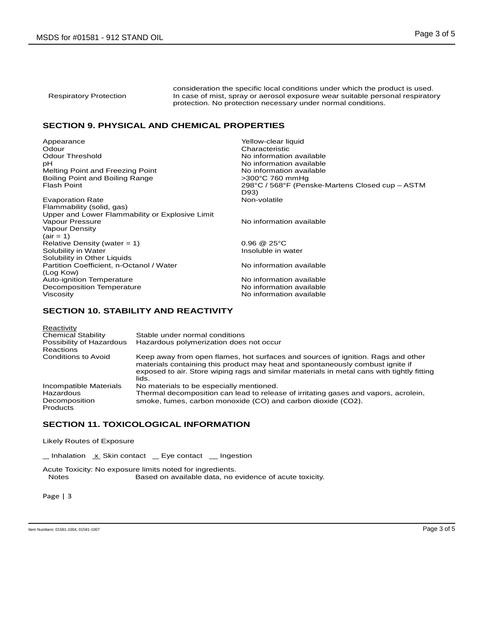consideration the specific local conditions under which the product is used. Respiratory Protection **In case of mist, spray or aerosol exposure wear suitable personal respiratory** protection. No protection necessary under normal conditions.

298°C / 568°F (Penske-Martens Closed cup – ASTM

No information available

# **SECTION 9. PHYSICAL AND CHEMICAL PROPERTIES**

Appearance **The Contract Search Contract Search Contract Search Contract Search Characteristic**<br>
Adour<br>
Odour Odour Characteristic pH<br>Mo information available<br>Mo information available<br>Mo information available Melting Point and Freezing Point **No information avail**<br>Boiling Point and Boiling Range **No information available** Boiling Point and Boiling Range<br>Flash Point

D93)<br>Non-volatile Evaporation Rate Flammability (solid, gas) Upper and Lower Flammability or Explosive Limit No information available Vapour Density  $(air = 1)$ Relative Density (water = 1)  $\qquad \qquad 0.96 \ @ \ 25^{\circ} \text{C}$ <br>Solubility in Water  $\qquad \qquad$  1nsoluble in water Solubility in Water Solubility in Other Liquids Partition Coefficient, n-Octanol / Water (Log Kow) No information available Auto-ignition Temperature<br>
Decomposition Temperature<br>
No information available Decomposition Temperature<br>Viscosity No information available

### **SECTION 10. STABILITY AND REACTIVITY**

| Reactivity                            |                                                                                                                                                                                                                                                                           |
|---------------------------------------|---------------------------------------------------------------------------------------------------------------------------------------------------------------------------------------------------------------------------------------------------------------------------|
| <b>Chemical Stability</b>             | Stable under normal conditions                                                                                                                                                                                                                                            |
| Possibility of Hazardous<br>Reactions | Hazardous polymerization does not occur                                                                                                                                                                                                                                   |
| <b>Conditions to Avoid</b>            | Keep away from open flames, hot surfaces and sources of ignition. Rags and other<br>materials containing this product may heat and spontaneously combust ignite if<br>exposed to air. Store wiping rags and similar materials in metal cans with tightly fitting<br>lids. |
| Incompatible Materials<br>Hazardous   | No materials to be especially mentioned.                                                                                                                                                                                                                                  |
|                                       | Thermal decomposition can lead to release of irritating gases and vapors, acrolein,                                                                                                                                                                                       |
| Decomposition<br>Products             | smoke, fumes, carbon monoxide (CO) and carbon dioxide (CO2).                                                                                                                                                                                                              |
|                                       |                                                                                                                                                                                                                                                                           |

# **SECTION 11. TOXICOLOGICAL INFORMATION**

Likely Routes of Exposure

 $\Box$  Inhalation  $\overline{x}$  Skin contact  $\overline{\phantom{a}}$  Eye contact  $\overline{\phantom{a}}$  Ingestion

Acute Toxicity: No exposure limits noted for ingredients.<br>Notes Based on available data no e Based on available data, no evidence of acute toxicity.

Page | 3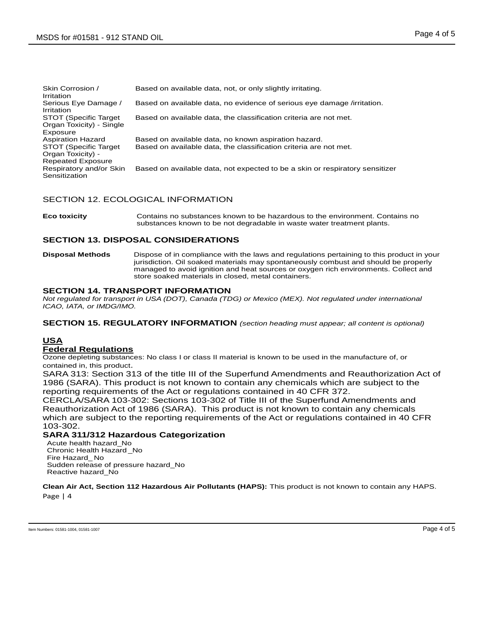| Skin Corrosion /<br>Irritation                                          | Based on available data, not, or only slightly irritating.                   |
|-------------------------------------------------------------------------|------------------------------------------------------------------------------|
| Serious Eye Damage /<br>Irritation                                      | Based on available data, no evidence of serious eye damage /irritation.      |
| STOT (Specific Target)<br>Organ Toxicity) - Single<br>Exposure          | Based on available data, the classification criteria are not met.            |
| <b>Aspiration Hazard</b>                                                | Based on available data, no known aspiration hazard.                         |
| STOT (Specific Target)<br>Organ Toxicity) -<br><b>Repeated Exposure</b> | Based on available data, the classification criteria are not met.            |
| Respiratory and/or Skin<br>Sensitization                                | Based on available data, not expected to be a skin or respiratory sensitizer |

### SECTION 12. ECOLOGICAL INFORMATION

**Eco toxicity** Contains no substances known to be hazardous to the environment. Contains no substances known to be not degradable in waste water treatment plants.

### **SECTION 13. DISPOSAL CONSIDERATIONS**

**Disposal Methods** Dispose of in compliance with the laws and regulations pertaining to this product in your jurisdiction. Oil soaked materials may spontaneously combust and should be properly managed to avoid ignition and heat sources or oxygen rich environments. Collect and store soaked materials in closed, metal containers.

#### **SECTION 14. TRANSPORT INFORMATION**

*Not regulated for transport in USA (DOT), Canada (TDG) or Mexico (MEX). Not regulated under international ICAO, IATA, or IMDG/IMO.*

**SECTION 15. REGULATORY INFORMATION** *(section heading must appear; all content is optional)*

### **USA**

#### **Federal Regulations**

Ozone depleting substances: No class I or class II material is known to be used in the manufacture of, or contained in, this product.

SARA 313: Section 313 of the title III of the Superfund Amendments and Reauthorization Act of 1986 (SARA). This product is not known to contain any chemicals which are subject to the reporting requirements of the Act or regulations contained in 40 CFR 372.

CERCLA/SARA 103-302: Sections 103-302 of Title III of the Superfund Amendments and Reauthorization Act of 1986 (SARA). This product is not known to contain any chemicals which are subject to the reporting requirements of the Act or regulations contained in 40 CFR 103-302.

#### **SARA 311/312 Hazardous Categorization**

Acute health hazard\_No Chronic Health Hazard \_No Fire Hazard\_ No Sudden release of pressure hazard\_No Reactive hazard\_No

Page | 4 **Clean Air Act, Section 112 Hazardous Air Pollutants (HAPS):** This product is not known to contain any HAPS.